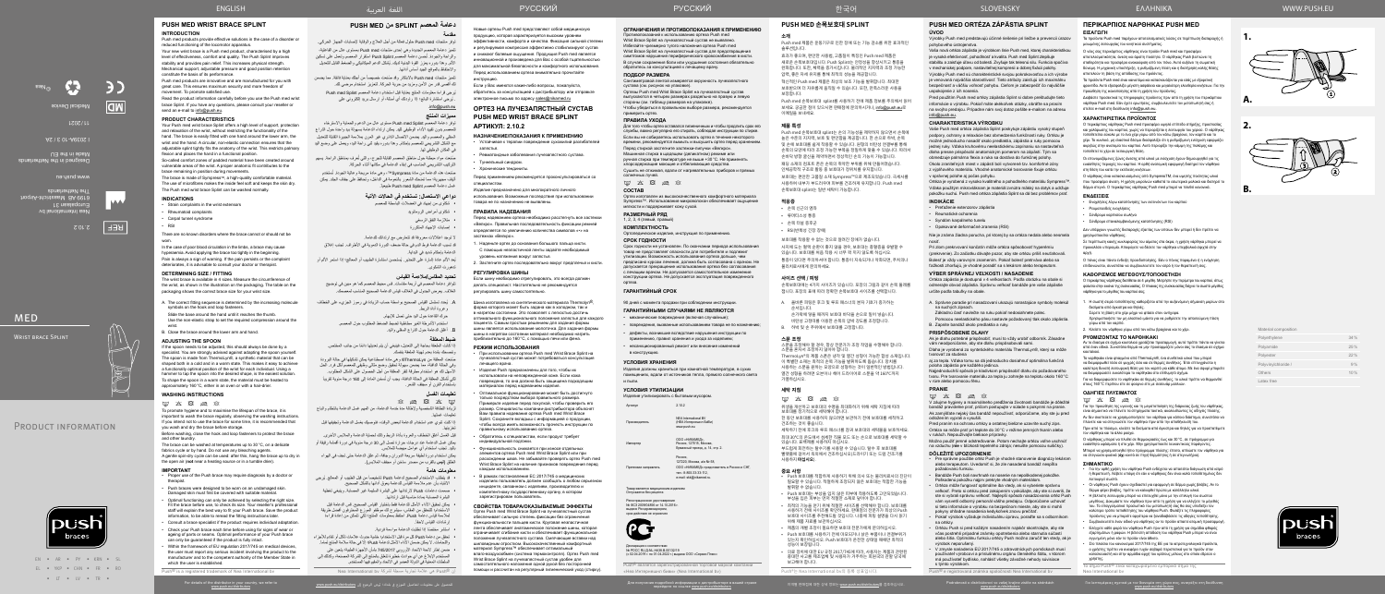EN • AR • PY • KRN • SL EL • YKP • CHN • FR • RO • IT • IV • TR •

Nea International bv Europalaan 31 6199 AB Maastricht-Airport The Netherlands

2.10.2

**REF** 

 $\begin{picture}(120,10) \put(0,0){\line(1,0){10}} \put(15,0){\line(1,0){10}} \put(15,0){\line(1,0){10}} \put(15,0){\line(1,0){10}} \put(15,0){\line(1,0){10}} \put(15,0){\line(1,0){10}} \put(15,0){\line(1,0){10}} \put(15,0){\line(1,0){10}} \put(15,0){\line(1,0){10}} \put(15,0){\line(1,0){10}} \put(15,0){\line(1,0){10}} \put(15,0){\line($ 

www.push.eu

Designed in the Netherlands

**MED** 

WRIST BRACE SPIINT

Made in the EU

I 2039A-10 3 / 2A

 $LZ0Z/LL$ 

Medical Device

تتميز منتجات Push med بالابتكار وقد صُنعت خصيصاً من أجلك بعناية فائقة. مما يضمن لك أقصى قدر من الأمن ومزيد من حرية الحركة. لتعزيز استخدام مرضي لك. ُيرجى قراءة معلومات المنتج بعناية قبل استخدام دعامة المعصم Splint med Push

 $\sqrt{2}$ 

©Nea

| <b>Material composition</b> |     |
|-----------------------------|-----|
| Polyethylene                | 34% |
| Polyamide                   | 25% |
| Polyester                   | 22% |
| Polyvinylchloride /         | 9%  |
| Others                      | 10% |
| Latex free                  |     |

 $M$ ate



**1.**

**2.**

**A.**



**B.**



# **دعامة المعصم SPLINT من MED PUSH مقدمة**

صُنعت مواد مبطنة حول مناطق المعصم القابلة للجرح، والتي تُعرف بمناطق الراحة. يسهم التركيب التشريحي المناسب في إبقاء الدعامة في مكانها أثناء الحركة.

صَنعت هذه الدعامة من مادة Sympress™، وهي مادة مريحة وعالية الجودة. تُستخدم ألياف مجهرية؛ مما تمنحك الشعور بالنعومة في الداخل، وتحافظ على جفاف الجلد. يمكن غسل دعامة المعصم Push med Splint طبيعياً.

توفر منتجات med Push حلول فعالة من أجل العالج والوقاية إلصابات الجهاز الحركي. تتميز دعامة المعصم الجديدة وهي إحدى منتجات med Push ِ بمستوى عال من الفاعلية، والراحة والجودة. تُحسن دعامة المعصم Push Splint استقرار المعصم وتعمل على تسكين ُ األلم. وهذا بدوره يعزز القوة البدنية لديك. يشكل الدعم الميكانيكي والضغط القابل للتعديل واالحتفاظ بالموقع الجيد أساس أدائها.

ُ . يرجي استشارة البائع؛ إذا راودتك أي أسئلة، أو إرسال بريد إلكتروني على .info@push.eu

# **مميزات المنتج**

توفر دعامة المعصم Splint med Push ِ مستوى عال من الدعم والحماية واالسترخاء للمعصم بدون تقييد األداء الوظيفي لليد. يمكن ارتداء الدعامة بسهولة بيد واحدة حول الذراع السفلي والمعصم واليد. يضمن االتصال الدائري غير المرن بمالءمة الجبيرة القابلة للتعديل مع الشكل التشريحي للمعصم بإحكام. وهذا بدوره يقيد ثني راحة اليد، ويعمل على وضع اليد في المكان الوظيفي لها.

# **دواعي االستعمال: تستخدم في الحاالت اآلتية**

 شكاوى من إجهاد في العضالت الباسطة للمعصم

- شكاوى أمراض الروماتويد
- متالزمة النفق الرسغي
- إصابات اإلجهاد المتكررة
- ال توجد اعتالالت معروفة قد تتعارض مع ارتدائك للدعامة.

- **معلومات هامة**<br>• قد يتطلب الاستخدام الصحيح لدعامة Push تشخيصاً من قبل الطبيب أو المعالج. يُرجى االنتباه بأن عدم مالءمة القياس للدعامة يعوق أدائها بالشكل الصحيح. صممت دعامات Push الرتدائها على البشرة السليمة غير المصابة. وينبغي تغطية
- البشرة المصابة بمادة مناسبة قبل ارتدائها. يمكن تحقيق األداء األمثل للدعامة فقط باختيار القياس الصحيح. قس الدعامة قبل
- االستخدام؛ للتحقق من المقاس، سيشرح لك موظفو الموزع المحترفون أفضل طريقة لمالءمة قياس دعامة Push. احتفظ بمعلومات المنتج؛ لكي تتمكن من إعادة قراءة إرشادات القياس لاحقاً.
	- ً استشر مختصا إذا تطلبت الدعامة مواءمة فردية.
- تحقق من دعامة Push كل مرة قبل االستخدام؛ خشية حدوث عالمات تآكل أو تقادم لألجزاء واللحامات. لا يمكن ضمان الأداء الأمثل لدعامة Push؛ إلا في حالة سلامة المنتج تماماً.
- ضمن إطار الئحة االتحاد األوروبي 745/2017 بشأن األجهزة الطبية؛ يتعين على المستخدم اإلبالغ عن أي حوادث خطيرة تتعلق بالمنتج إلى الشركة المصنعة، وكذلك إلى السلطات المعنية في الدولة العضو في االتحاد والمقيم فيها المستخدم.

قد تسبب الدعامة فرط الدم في حالة ضعف الدورة الدموية في األطراف. تجنب إغالق الدعامة بإحكام شديد في البداية. يُعد الألم عادة إشارة على التحذير . يُستحسن استشارة الطبيب أو المعالج؛ إذا استمر الألم أو تدهورت الشكوى.

> ف إن RPush هي عالمة تجارية مسجلة لشركة bv International Nea

# **تحديد المقاس/مالءمة القياس**

تتوافر دعامة المعصم في أربعة مقاسات. قس محيط المعصم كما هو مبين في توضيح الغالف. يعرض الجدول في الغالف قياس الدعامة الصحيح المناسب لمعصمك.

> Россия,<br>127220, Москва, а/я № 58, ООО «НИКАМЕД» представитель в России и СН тел.: 8-800-33-33-112, e-mail: skk@nikamed.ru.

- . ُيحدد تسلسل القياس الصحيح بواسطة حساب الزيادة في رموز الجزيء على الخطاف وعروة أداة الربط.
	- حرك القاعدة حول اليد حتى تصل لإلبهام.
	- استخدم الأشرطة الغير مطاطية لضبط الضغط المطلوب حول المعصم.
		- . أغلق الدعامة حول الذراع السفلي واليد.

Регистрационное удостоверение<br>№ ФСЗ 2009/04856 от 14.10.2016 г. выдано Росздравнадзором,



Декларация о соответствии<br>№ РОСС RU Д-NL.НА38.В.00132/19 гч≅ г. ООО КО Д-гчЕ.ПАЗО.В.00 ГЗД Г.»<br>- (с 02.04.2019 г. по 01.04.2022 г.) выдана ООО «Сервис Плюс

Push® является зарегистрированной торговой маркой компании «Неа Интернешня биви» (Nea International bv)

# **ضبط المعلقة**

ً إذا كانت الملعقة بحاجة إلى التعديل، فينبغي أن يتم تعديلها دائما من جانب المختص. وننصحك بشدة بعدم تهيئة الملعقة بنفسك.

й к использованию ортеза Push me Wrist Brace Splint на лучезапястный сустав не выявлено. Избегайте чрезмерно тугого наложения ортеза Push med Wrist Brace Splint на лучезапястный сустав для предотвращения симптомов нарушения периферического кровоснабжения в кисти. В случае сохранения боли или ухудшения состояния обязательно обратитесь за консультацией к лечащему врачу.

- ُصنعت المعلقة من ThermoLyn ®وهي مادة اصطناعية يمكن تشكيلها في حالة البرودة وفي الحالة الدافئة، مما يضمن سهولة تحقيق وضع مثالي وظيفي للمعصم لكل فرد. الحل
- األسهل لك هو استخدام مطرقة لنقر المعلقة من أجل الحصول على الشكل المطلوب. ا<br>ا لكي تُشكل المعلقة في الحالة الدافئة، يجب أن تُسخن المادة إلى 160 درجة مئوية تقريباً
- باستخدام الفرن أو مجفف الشعر. **تعليمات الغسل**

# $\otimes$  a  $\boxtimes$   $\times$   $\circ$

لزيادة النظافة الشخصية وإلطالة مدة خدمة الدعامة، من المهم غسل الدعامة بانتظام واتباع تعليمات غسلها.

- إذا كنت تنوي عدم استخدام الدعامة لبعض الوقت، فنوصيك بغسل الدعامة وتجفيفها قبل تخزينها.
- قبل الغسل أغلق الخطاف والعروة بأداة الربط وذلك لحماية الدعامة والملابس الأخرى. يمكن غسل الدعامة عند درجات حرارة تصل إلى 30 درجة مئوية في دورة أقمشة رقيقة أو باليد. تجنب استخدام أي عوامل مبيضة للمالبس.
- يمكن استخدام دورة لطيفة سريعة الدوران وجافة، ثم علق الدعامة حتى تجف في الهواء الطلق )**ليس** بالقرب من مصدر ساخن أو مجفف المالبس(.

90 дней с момента продажи при соблюдении инструкции.

#### **ГАРАНТИЙНЫМИ СЛУЧАЯМИ НЕ ЯВЛЯЮТСЯ**

• механические повреждения (включая случайные);

 $\Box$ ина изготовлена из синтетического материала Thermolyn $^\circledR_\Box$ форма которого может быть задана как в холодном, так и в нагретом состоянии. Это позволяет с легкостью достичь оптимального функционального положения запястья для каждого пациента. Самым простым решением для задания формы шины является использование молоточка. Для задания формы шины в нагретом состоянии материал необходимо нагреть приблизительно до 160°С, с помощью печи или фена.

• повреждения, вызванные использованием товара не по назначению;

• дефекты, возникшие вследствие нарушения инструкции по

применению, правил хранения и ухода за изделием; в конструкцию.

• несанкционированный ремонт или внесение изменений

# **УСЛОВИЯ ХРАНЕНИЯ**

Изделия должны храниться при комнатной температуре, в сухих помещениях, вдали от источников тепла, прямого солнечного света

и пыли.

# **УСЛОВИЯ УТИЛИЗАЦИИ**

Изделие утилизировать с бытовым мусором.

Артикул 2.10.2

Производитель

NEA International BV (НЕА Интернешнл БиВи) www.push.eu

Импортер

ООО «НИКАМЕД», Россия, 127015, Москва, Бумажный проезд, д. 14, стр. 2.

Претензии направлять

срок действия не ограниче

Товар является медицинским изделием Отпускается без рецепта

# **ОГРАНИЧЕНИЯ И ПРОТИВОПОКАЗАНИЯ К ПРИМЕНЕНИЮ**

# **ПОДБОР РАЗМЕРА**

Сантиметровой лентой измеряется окружность лучезапястного сустава (см. рисунок на упаковке). Ортезы Push med Wrist Brace Splint на лучезапястный сустав

> $\boxtimes \hspace{0.1cm} \boxtimes \hspace{0.1cm} \boxtimes \hspace{0.1cm} \boxtimes \hspace{0.1cm} \boxtimes \hspace{0.1cm} \boxtimes \hspace{0.1cm} \boxtimes$ 위생을 개선하고 보호대의 수명을 최대화하기 위해 세탁 지침에 따라

#### выпускаются в четырех размерах раздельно на правую и левую стороны (см. таблицу размеров на упаковке).

Чтобы убедиться в правильном выборе размера, рекомендуется примерить ортез.

### **ПРАВИЛА УХОДА**

- — •• •<br>- Push 보호대를 적합하게 사용하기 위해 의사 또는 물리치료사의 지단이 필요할 수 있습니다. 적절하게 조정되지 않은 보호대는 적합한 기능을 발휘할 수 없습니다.
- Push 보호대는 부상을 입지 않은 피부에 착용하도록 고안되었습니다. 부상을 입은 피부는 먼저 적절한 소재로 덮어야 합니다. • 최적의 기능을 얻기 위해 적절한 사이즈를 선택해야 합니다. 보호대를
- 사용하기 전에 사이즈를 확인하세요. 판매점의 전문가가 최상의 Push 보호대 사이즈를 추천해드릴 것입니다. 나중에 피팅 설명을 다시 읽기 위해 제품 자료를 보관하십시오.
- 제품의 개별 조정이 필요하면 보호대 전문가에게 문의하십시오.
- Push 보호대를 사용하기 전에 마모되거나 낡은 부품이나 연결부위가 있는지 확인하십시오. Push 보호대가 온전한 상태일 때에만 최적의 성능이 보장됩니다.
- 의료 장치에 대한 EU 규정 2017/745에 따라, 사용자는 제품과 관련된 중대한 사고를 제조업체 및 사용자가 거주하는 회원국의 관할 당국에 보고해야 합니다.

Для того чтобы ортез оставался гигиеничным и чтобы продлить срок его службы, важно регулярно его стирать, соблюдая инструкции по стирке. Если вы не собираетесь использовать ортез в течение некоторого времени, рекомендуется вымыть и высушить ортез перед хранением. Перед стиркой застегните застежки-липучки «Велкро». Машинная стирка в щадящем (деликатном) режиме или ручная стирка при температуре не выше +30°C. Не применять хлорсодержащие моющие и отбеливающие средства.

Сушить не отжимая, вдали от нагревательных приборов и прямых солнечных лучей.

# $\qquad \qquad \text{if} \quad \text{X} \quad \text{B} \quad \text{B} \quad \text{B}$

Ортез изготовлен из высококачественного комфортного материала Sympress™. Использование микроволокон обеспечивает ощущение мягкости и поддерживает кожу сухой.

**СОСТАВ КОМПЛЕКТНОСТЬ**

## **РАЗМЕРНЫЙ РЯД**

1, 2, 3, 4 (левый, правый)

Ортопедическое изделие, инструкция по примененик

#### **СРОК ГОДНОСТИ**

Срок годности не установлен. По окончании периода использования товар не представляет опасности для потребителя и подлежит утилизации. Возможность использования ортеза дольше, чем предписано курсом лечения, должна быть согласована с врачом. Не допускается прекращение использования ортеза без согласования с лечащим врачом. Не допускается самостоятельное изменение конструкции ортеза. Не допускается эксплуатация поврежденного ортеза.

#### **ГАРАНТИЙНЫЙ СРОК**

Новые ортезы Push med представляют собой медицинскую продукцию, которая характеризуется высоким уровнем эффективности, комфорта и качества. Фиксация сильной степени и регулируемая компрессия эффективно стабилизируют сустав и снижают болевые ощущения. Продукция Push med является инновационной и произведена для Вас с особой тщательностью для максимальной безопасности и комфортного использования. Перед использованием ортеза внимательно прочитайте

инструкцию.

Если у Вас имеются какие-либо вопросы, пожалуйста, обратитесь за консультацией к дистрибьютору или отправьте электронное письмо по адресу sales@nikamed.ru

**ОРТЕЗ НА ЛУЧЕЗАПЯСТНЫЙ СУСТАВ PUSH MED WRIST BRACE SPLINT**

**АРТИКУЛ: 2.10.2**

**НАЗНАЧЕНИЕ/ПОКАЗАНИЯ К ПРИМЕНЕНИЮ** • Устойчивое к терапии повреждение сухожилий разгибателей

запястья.

• Ревматоидные заболевания лучезапястного сустава.

Перед применением рекомендуется проконсультироваться со

• Туннельный синдром. • Хронические тендиниты.

специалистом.

Изделие предназначено для многократного личного использования. Возможные последствия при использовании

товара не по назначению не выявлены.

**ПРАВИЛА НАДЕВАНИЯ**

Перед надеванием ортеза необходимо расстегнуть все застежки «Велкро». Правильная последовательность фиксации ремней определяется по увеличению количества символов «•» на

застежках «Велкро».

1. Наденьте ортез до основания большого пальца кисти. С помощью неэластичной ленты задайте необходимый

уровень натяжения вокруг запястья. 2. Застегните ортез последовательно вокруг предплечья и кисти. **РЕГУЛИРОВКА ШИНЫ**

Если шину необходимо отрегулировать, это всегда должен делать специалист. Настоятельно не рекомендуется регулировать шину самостоятельно.

#### **РЕЖИМ ИСПОЛЬЗОВАНИЯ**

- При использовании ортеза Push med Wrist Brace Splint на лучезапястный сустав может потребоваться консультация лечащего врача.
- Изделия Push предназначены для того, чтобы их использовали на неповрежденной коже. Если кожа повреждена, то она должна быть защищена подходящим материалом перед надеванием изделия.
- Оптимальное функционирование может быть достигнуто только посредством выбора правильного размера. Примерьте изделие перед покупкой, чтобы проверить его размер. Специалисты компании-дистрибьютора объяснят Вам правила надевания ортеза Push med Wrist Brace Splint. Сохраните вкладыш с информацией о продукции, чтобы всегда иметь возможность прочесть инструкции по правильному использованию ортеза.
- Обратитесь к специалистам, если продукт требует индивидуальной подгонки.
- Функциональность снижается при износе отдельных элементов ортеза Push med Wrist Brace Splint или при расхождении швов. Не забывайте проверять ортез Push med Wrist Brace Splint на наличие признаков повреждения перед каждым использованием.
- В рамках постановления ЕС 2017/745 о медицинских изделиях пользователь должен сообщать о любом серьезном инциденте, связанном с изделием, производителю и компетентному государственному органу, в котором зарегистрирован пользователь.

**ΟΔΗΓΙΕΣ ΠΛΥΣΙΜΑΤΟΣ**  $\boxtimes \hspace{0.1cm} \boxtimes \hspace{0.1cm} \boxtimes \hspace{0.1cm} \boxtimes \hspace{0.1cm} \boxtimes \hspace{0.1cm} \boxtimes \hspace{0.1cm} \boxtimes$ 

**СВОЙСТВА ТОВАРА/ОКАЗЫВАЕМЫЕ ЭФФЕКТЫ** Ортез Push med Wrist Brace Splint на лучезапястный сустав обеспечивает сильную степень фиксации без ограничения функциональности пальцев кисти. Круговая неэластичная лента обеспечивает анатомическое положение шины, которая ограничивает сгибание кисти и обеспечивает функциональное положение лучезапястного сустава. Смягчающие вставки над шиловидным отростком. Высококачественный комфортный материал Sympress™ обеспечивает оптимальный влаго‑воздухообмен (система термоконтроля). Ортез Push med Wrist Brace Splint на лучезапястный сустав удобен для самостоятельного наложения одной рукой без посторонней помощи и рассчитан на регулярный гигиенический уход (стирку).



# **PUSH MED 손목보호대 SPLINT**

**소개** Push med 제품은 운동기구로 인한 장애 또는 기능 감소를 위한 효과적인 솔루션입니다.

효과가 좋으며, 편안한 사용법, 고품질이 특징인 Push med 제품은 새로운 손목보호대입니다. Push Splint는 안정성을 향상시키고 통증을 완화합니다. 또한, 체력을 증가시킵니다. 물리적인 지지력과 조정 가능한

압력, 좋은 자세 유지를 통해 최적의 성능을 제공합니다. 혁신적인 Push med 제품은 최상의 보조 기능을 발휘합니다. 최대한 보호받으며 더 자유롭게 움직일 수 있습니다. 또한, 만족스러운 사용을 보장합니다.

Push med 손목보호대 splint를 사용하기 전에 제품 정보를 주의해서 읽어 보세요. 궁금한 점이 있으시면 판매점에 문의하시거나, info@push.eu로 이메일을 보내세요.

#### **제품 특성**

Push med 손목보호대 splint는 손의 기능성을 제약하지 않으면서 손목에 높은 수준의 지지력, 보호 및 편안함을 제공합니다. 한 손으로 하박, 손목 및 손에 보호대를 쉽게 착용할 수 있습니다. 원형의 비탄성 연결부를 통해 손목의 모양에 따라 조정 가능한 부목을 정밀하게 맞출 수 있습니다. 따라서 손바닥 방향 굴신을 제약하면서 정상적인 손의 기능이 가능합니다. 패딩 소재의 컴포트 존은 손목의 취약한 부위를 위해 만들어졌습니다. 인체공학적 구조로 활동 중 보호대가 정위치를 유지합니다. 보호대는 편안한 고품질 소재 Sympress™으로 제조되었습니다. 극세사를 사용하여 내부가 부드러우며 피부를 건조하게 유지합니다. Push med 손목보호대 splint는 일반 세탁이 가능합니다.

Your Push med wrist brace Splint offers a high level of support, protection and relaxation of the wrist, without restricting the functionality of the hand. The brace is easily fitted with one hand around the lower arm, the wrist and the hand. A circular, non-elastic connection ensures that the adjustable splint tightly fits the anatomy of the wrist. This restricts palmary flexion and places the hand in a functional position

**적응증**

- 손목 신근의 염좌
- 류머티스성 통증
- 손목 터널 증후군
- RSI(반복성 긴장 장애)
- 

보호대를 착용할 수 없는 것으로 알려진 장애가 없습니다. 사지에 도는 혈액 순환이 좋지 않을 경우, 보호대는 충혈증을 유발할 수 있습니다. 보호대를 처음 착용 시 너무 꽉 끼지 않도록 하십시오. 통증이 있다면 주의하셔야 합니다. 통증이 지속되거나 악화되면, 주치의나 물리치료사에게 문의하세요.

The brace is made of Sympress™, a high-quality comfortable material. The use of microfibres makes the inside feel soft and keeps the skin dry. The Push med wrist brace Splint can be washed normally.

#### **사이즈 선택 / 피팅**

손목보호대에는 4가지 사이즈가 있습니다. 포장의 그림과 같이 손목 둘레를 잽니다. 포장의 표에 따라 정확한 손목보호대 사이즈를 선택합니다.

- A. 올바른 피팅은 후크 및 루프 패스너의 분자 기호가 증가하는 순서입니다. 손가락에 닿을 때까지 보호대 바닥을 손으로 밀어 넣습니다.
- 비탄성 고정띠를 이용한 손목의 압박 강도를 조정합니다. B. 하박 및 손 주위에서 보호대를 고정합니다.
- 

**스푼 조정** 스푼을 조정해야 할 경우, 항상 전문가가 조정 작업을 수행해야 합니다. 스푼을 혼자서 조정하지 않아야 합니다. ThermoLyn®의 제품 스푼은 냉각 및 열간 성형이 가능한 합성 소재입니다. 이 특별한 소재는 최적의 손목 기능을 발휘하도록 돕습니다. 망치를

사용하는 스푼을 원하는 모양으로 성형하는 것이 일반적인 방법입니다. 열간 성형을 하려면 오븐이나 헤어 드라이어로 스푼을 약 160°C까지 가열하십시오.

### **세탁 지침**

- 보호대를 정기적으로 세탁해야 합니다.
- 한 동안 보호대를 사용하지 않으려면 보관하기 전에 보호대를 세척하고 건조하는 것이 좋습니다.
- 세탁하기 전에 후크와 루프 패스너를 잠궈 보호대와 세탁물을 보호하세요.
- 최대 30°C의 온도에서 섬세한 직물 모드 또는 손으로 보호대를 세탁할 수 있습니다. 표백제를 사용하지 마십시오.
- 부드럽게 회전하는 탈수기를 사용할 수 있습니다. 탈수 후 보호대를 빨랫줄에 걸어서 옥외에서 건조하십시오(드라이기 또는 드럼 건조기를 사용하지 **마십시오**).

#### **중요 사항**

The brace can be washed at temperatures up to 30 °C, on a delicate fabrics cycle or by hand. Do not use any bleaching agents. A gentle spin-dry cycle can be used: after this, hang the brace up to dry in

- Proper use of the Push brace may require diagnosis by a doctor or therapist.
- Push braces were designed to be worn on an undamaged skin. Damaged skin must first be covered with suitable material.
- Optimal functioning can only be achieved by selecting the right size. Fit the brace before use, to check its size. Your reseller's professional staff will explain the best way to fit your Push brace. Save the product information, to be able to reread the fitting instructions later.
- Consult a brace specialist if the product requires individual adaptation. • Check your Push brace each time before using for signs of wear or ageing of parts or seams. Optimal performance of your Push brace can only be guaranteed if the product is fully intact.
- Within the framework of EU regulation 2017/745 on medical devices, the user must report any serious incident involving the product to the manufacturer and to the competent authority of the Member State in
- which the user is established. Push® is a registered trademark of Nea International by

For details of the distributor in your country, we refer to معلومات لتفاصيل الموزع في بلدك؛ يُرجى الرجوع إلى www.<u>push.eu/distributors</u><br>www.<u>push.eu/distributors</u> of the distributor in your country, we refer to<br>www.push.eu/distributors

Push®는 Nea International bv의 등록 상표입니다.

для получения подробной информации о дистрибьюторе в вашей стране для получения подробного дря для получения подробного дря для получения подробного дря для получения подробного дря для получения подробного дря для дря д

# **PUSH MED ORTÉZA ZÁPÄSTIA SPLINT**

# **ÚVOD**

Výrobky Push med predstavujú účinné riešenie pri liečbe a prevencii úrazov pohybového ústrojenstva.

Vaša nová ortéza zápästia je výrobkom línie Push med, ktorej charakteristikou je vysoká efektívnosť, pohodlnosť a kvalita. Push med Splint zlepšuje stabilitu a zaisťuje úľavu od bolesti. Zvyšuje tak telesnú silu. Funkcia spočíva v mechanickej podpore, nastaviteľnej kompresii a dobrej fixácii polohy. Výrobky Push med sú charakteristické svojou pokrokovosťou a ich výrobe je venovaná najväčšia starostlivosť. Tieto atribúty zaisťujú ich maximálnu

bezpečnosť a väčšiu voľnosť pohybu. Cieľom je zabezpečiť čo najväčšie uspokojenie z ich nosenia. Pred použitím Push med ortézy zápästia Splint si dobre preštudujte tieto

informácie o výrobku. Pokiaľ máte akékoľvek otázky, obráťte sa prosím na svojho predajcu. Prípadne nám svoj dotaz pošlite e-mailom na adresu info@push.eu.

### **CHARAKTERISTIKA VÝROBKU**

Vaše Push med ortéza zápästia Splint poskytuje zápästiu vysoký stupeň podpory, ochrany a relaxácie bez obmedzenia funkčnosti ruky. Ortézu je možné jednoducho nasadiť okolo predlaktia, zápästia a ruky pomocou jednej ruky. Vďaka kruhovému neelastickému zapínaniu sa nastaviteľná dlaha presne prispôsobí anatomickým pomerom na zápästí. Tým sa obmedzuje palmárna flexia a ruka sa dostáva do funkčnej polohy. Okolo zraniteľných miest v zápästí boli vytvorené tzv. komfortné zóny z výplňového materiálu. Vhodné anatomické tvarovanie fixuje ortézu v správnej polohe aj počas pohybu.

Ortéza je vyrobená z vysoko kvalitného a pohodlného materiálu Sympress™. Vďaka použitým mikrovláknam je materiál zvnútra mäkký na dotyk a udržuje pokožku suchú. Push med ortéza zápästia Splint sa dá bez problémov prať. **INDIKÁCIE**

- Preťaženie extenzorov zápästia • Reumatické ochorenia
- Syndóm karpálneho tunelu
- Opakované deformačné zranenia (RSI)

Nie je známa žiadna porucha, pri ktorej by sa ortéza nedala alebo nesmela nosiť.

Pri zlom prekrvovaní končatín môže ortéza spôsobovať hyperémiu (prekrvenie). Zo začiatku dávajte pozor, aby ste ortézu príliš neuťahovali. Bolesť je vždy varovným znamením. Pokiaľ bolesť pretrváva alebo sa ťažkosti zhoršujú, je vhodné poradiť sa s lekárom alebo terapeutom.

# **VÝBER SPRÁVNEJ VEĽKOSTI / NASADENIE**

Ortéza zápästia je dostupná v 4 veľkostiach. Podľa obrázku na obale si odmerajte obvod zápästia. Správnu veľkosť bandáže pre vaše zápästie určíte podľa tabuľky na obale.

- A. Správne poradie pri nasadzovaní ukazujú narastajúce symboly molekúl na suchých zipsoch.
- Základnú časť navlečte na ruku pokiaľ nedosiahnete palec.
- Pomocou neelastického pásu nastavte požadovaný tlak okolo zápästia. B. Zapnite bandáž okolo predlaktia a ruky.

#### **PRISPÔSOBENIE DLAHY**

Ak je dlahu potrebné prispôsobiť, musí to vždy urobiť odborník. Zásadne vám neodporúčame, aby ste dlahu prispôsobovali sami. Dlaha je vyrobená zo syntetického materiálu ThermoLyn®, který sa môže

tvarovať za studena aj za tepla. Vďaka tomu sa dá jednoducho dosiahnuť optimálna funkčná poloha zápästia pre každého jedinca. Najjednoduchší spôsob je kladivkom prispôsobiť dlahu do požadovaného

tvaru. Pre tvarovanie materiálu za tepla ju zohrejte na teplotu okolo 160°C

v rúre alebo pomocou fénu.

 $M \times \boxtimes \text{ or }$ 

**PRANIE**

V záujme hygieny a maximálneho predĺženia životnosti bandáže je dôležité bandáž pravidelne prať, pričom postupujte v súlade s pokynmi na pranie. Ak zamýšľate nejaký čas bandáž nepoužívať, odporúčame, aby ste ju pred

odložením vyprali a vysušili.

Pred praním na ochranu ortézy a ostatnej bielizne uzavrite suchý zips. Ortéza sa môže prať pri teplote do 30°C v režime jemných tkanín alebo

v rukách. Nepoužívajte bieliace prípravky.

Možno použiť jemné odstreďovanie. Potom nechajte ortézu voľne uschnúť na vzduchu (**nie** v blízkosti tepelného zdroja; nesušte pomocou sušičky).

**DÔLEŽITÉ UPOZORNENIE**

• Pre správne použitie ortéz Push je vhodné stanovenie diagnózy lekárom alebo terapeutom. Uvedomiť si, že zle nasadená bandáž nespĺňa

Podrobnosti o distribútorovi vo vašej krajine zistíte na stránkách<br>www.push.eu/distributors

Για λεπτομέρειες σχετικά με τον διανομέα στη χώρα σας, ανατρέξτε στη διεύθυνσ<br>Παραστημένη στη συνανομική συζηθετρηματίας

požadovanú funkciu.

• Bandáže Push boli navrhnuté na nosenie na nepoškodenej pokožke. Poškodenú pokožku najprv prekryte vhodným materiálom. • Ortéza môže fungovať optimálne iba vtedy, ak si vyberiete správnu veľkosť. Preto si ortézu pred zakúpením vyskúšajte, aby ste si overili, že ste si vybrali správnu veľkosť. Najlepší spôsob nasadzovania ortéz Push vám vysvetlí odborný personál vášho predajcu. Odporúčame uchovať si tieto informácie o výrobku na bezpečnom mieste, aby ste si mohli pokyny ohľadne nasadenia kedykoľvek znovu prečítať. • Pokiaľ výrobok vyžaduje individuálnu úpravu, poraďte sa s odborníkom

na ortézy.

• Ortézu Push si pred každým nasadením najskôr skontrolujte, aby ste včas postrehli prípadné známky opotrebenia alebo starnutia súčastí alebo šitia. Optimálnu funkciu ortézy Push možno zaručiť len vtedy, ak je

výrobok neporušený.

• V zmysle nariadenia EÚ 2017/745 o zdravotníckych pomôckach musí používateľ výrobcovi a príslušnému orgánu členského štátu, v ktorom má používateľ bydlisko, nahlásiť všetky závažné nehody súvisiace

s týmto výrobkom.

Push® e registrovaná známka spoločnosti Nea International bv

SLOVENSKY

**ΠΕΡΙΚΑΡΠΙΟΣ ΝΑΡΘΗΚΑΣ PUSH MED**

**ΕΙΣΑΓΩΓΗ**

Τα προϊόντα Push med παρέχουν αποτελεσματικές λύσεις σε περίπτωση διαταραχής ή

μειωμένης λειτουργίας του κινητικού συστήματος.

Ο νέος σας περικάρπιος νάρθηκας είναι προϊόν Push med και προσφέρει αποτελεσματικότητα, άνεση και άριστη ποιότητα. Ο νάρθηκας Push βελτιώνει τη σταθερότητα και προσφέρει ανακούφιση από τον πόνο. Αυτό αυξάνει τη σωματική δύναμη. Η μηχανική υποστήριξη, η ρυθμιζόμενη πίεση και η διατήρηση καλής θέσης

αποτελούν τη βάση της απόδοσης του προϊόντος.

Τα προϊόντα Push med είναι καινοτόμα και κατασκευάζονται για εσάς με εξαιρετική φροντίδα. Αυτό εξασφαλίζει μέγιστη ασφάλεια και μεγαλύτερη ελευθερία κινήσεων. Για την

προώθηση της ικανοποίησης από τη χρήση του προϊόντος.

Διαβάστε προσεκτικά τις πληροφορίες προϊόντος πριν από τη χρήση του περικάρπιου νάρθηκα Push med. Εάν έχετε ερωτήσεις, συμβουλευτείτε τον μεταπωλητή σας ή

στείλτε e-mail στη διεύθυνση info@push.eu. **ΧΑΡΑΚΤΗΡΙΣΤΙΚΑ ΠΡΟΪΟΝΤΟΣ**

Ο περικάρπιος νάρθηκας Push med προσφέρει υψηλό επίπεδο στήριξης, προστασίας και χαλάρωσης του καρπού, χωρίς να περιορίζεται η λειτουργία του χεριού. Ο νάρθηκας τοποθετείται εύκολα με το ένα χέρι γύρω από τον κάτω βραχίονα, τον καρπό και το χέρι. Το κυκλικό, μη ελαστικό δέσιμο διασφαλίζει ότι η ρυθμιζόμενη ενίσχυση εφαρμόζει ακριβώς στην ανατομία του καρπού. Αυτό περιορίζει την κάμψη της παλάμης και

τοποθετεί το χέρι σε λειτουργική θέση.

Οι επονομαζόμενες ζώνες άνεσης από υλικό με ενίσχυση έχουν δημιουργηθεί για τις ευαίσθητες περιοχές του καρπού. Η ορθή ανατομική εφαρμογή διατηρεί τον νάρθηκα

στη θέση του κατά την εκτέλεση κινήσεων.

Ο νάρθηκας είναι κατασκευασμένος από SympressTM, ένα υψηλής ποιότητας υλικό που προσφέρει άνεση. Η χρήση μικροϊνών καθιστά το εσωτερικό μαλακό και διατηρεί το δέρμα στεγνό. Ο περικάρπιος νάρθηκας Push med μπορεί να πλυθεί κανονικά.

**ΕΝΔΕΙΞΕΙΣ**

• Ενοχλήσεις λόγω καταπόνησης των εκτεινόντων του καρπού

• Ρευματοειδείς ενοχλήσεις • Σύνδρομο καρπιαίου σωλήνα

• Σύνδρομο επαναλαμβανόμενης καταπόνησης (RSI)

Δεν υπάρχουν γνωστές διαταραχές εξαιτίας των οποίων δεν μπορεί ή δεν πρέπει να

χρησιμοποιείται νάρθηκας.

Σε περίπτωση κακής κυκλοφορίας του αίματος στα άκρα, η χρήση νάρθηκα μπορεί να προκαλέσει υπεραιμία. Αποφύγετε να δέσετε τον νάρθηκα υπερβολικά σφιχτά στην

αρχή.

Ο πόνος είναι πάντα ένδειξη προειδοποίησης. Εάν ο πόνος παραμένει ή η ενόχληση επιδεινώνεται, συνιστάται να συμβουλευτείτε τον ιατρό ή τον θεραπευτή σας.

**ΚΑΘΟΡΙΣΜΟΣ ΜΕΓΕΘΟΥΣ/ΤΟΠΟΘΕΤΗΣΗ**

Ο περικάρπιος νάρθηκας διατίθεται σε 4 μεγέθη. Μετρήστε την περίμετρο του καρπού, όπως φαίνεται στην εικόνα της συσκευασίας. Ο πίνακας της συσκευασίας δείχνει το σωστό μέγεθος

νάρθηκα για το μέγεθος του καρπού σας.

1. Η σωστή σειρά τοποθέτησης καθορίζεται από την αυξανόμενη σήμανση μορίων στα

δεσίματα από άγκιστρα και θηλιές.

Σύρετε τη βάση στο χέρι μέχρι να φτάσει στον αντίχειρα.

Χρησιμοποιήστε τον μη ελαστικό ιμάντα για να ρυθμίσετε την απαιτούμενη πίεση

γύρω από τον καρπό.

2. Κλείστε τον νάρθηκα γύρω από τον κάτω βραχίονα και το χέρι.

**ΡΥΘΜΙΖΟΝΤΑΣ ΤΟ ΝΑΡΘΗΚΑΚΙ**

Αν το έλασμα σε σχήμα κουταλιού χρειάζεται προσαρμογή, αυτό πρέπει πάντα να γίνεται από έναν ειδικό. Συνιστάται θερμά να μην προσαρμόζετε μόνοι σας το έλασμα σε σχήμα

κουταλιού.

Το ναρθηκάκι είναι φτιαγμένο από ThermoLyn®, ένα συνθετικό υλικό που μπορεί να διαμορφωθεί τόσο σε ψυχρές όσο και σε θερμές συνθήκες. Έτσι επιτυγχάνεται η καλύτερη δυνατή λειτουργική θέση για τον καρπό για κάθε άτομο. Με ένα σφυρί μπορείτε

να διαμορφώσετε ευκολότερα το ναρθηκάκι στο επιθυμητό σχήμα.

Για να διαμορφώσετε το ναρθηκάκι σε θερμές συνθήκες, το υλικό πρέπει να θερμανθεί

στους 160°C περίπου είτε σε φούρνο είτε με σεσουάρ μαλλιών.

Για την προώθηση της υγιεινής και τη μεγιστοποίηση της διάρκειας ζωής του νάρθηκας, είναι σημαντικό να πλένετε τα στηρίγματα τακτικά, ακολουθώντας τις οδηγίες πλύσης. Αν δεν σκοπεύετε να χρησιμοποιήσετε τον νάρθηκα για κάποιο διάστημα, συνιστάται να πλύνετε και να στεγνώσετε τον νάρθηκα πριν από την αποθήκευσή του. Πριν από το πλύσιμο, κλείστε τα δεσίματα από άγκιστρα και θηλιές για να προστατέψετε

τον νάρθηκα και τα άλλα ρούχα.

Ο νάρθηκας μπορεί να πλυθεί σε θερμοκρασίες έως και 30°C, σε πρόγραμμα για ευαίσθητα υφάσματα ή στο χέρι. Μην χρησιμοποιείτε λευκαντικούς παράγον Μπορεί να χρησιμοποιηθεί ήπιο πρόγραμμα πλύσης: έπειτα, απλώστε τον νάρθηκα για να στεγνώσει φυσικά (**όχι** κοντά σε πηγή θερμότητας ή σε στεγνωτήριο).

**ΣΗΜΑΝΤΙΚΟ**

• Για την ορθή χρήση του νάρθηκα Push ενδέχεται να απαιτείται διάγνωση από ιατρό ή θεραπευτή. Λάβετε υπόψη ότι εάν ο νάρθηκας δεν είναι καλά τοποθετημένος δεν

λειτουργεί σωστά.

• Οι νάρθηκες Push έχουν σχεδιαστεί για εφαρμογή σε δέρμα χωρίς βλάβες. Αν το δέρμα φέρει βλάβες, πρέπει να καλυφθεί πρώτα με κατάλληλο υλικό. • Η βέλτιστη λειτουργία μπορεί να επιτευχθεί μόνο με την επιλογή του σωστού μεγέθους. Δοκιμάστε τον νάρθηκα πριν από τη χρήση για να ελέγξετε το μέγεθός του. Το επαγγελματικό προσωπικό του μεταπωλητή σας θα σας υποδείξει τον καλύτερο τρόπο τοποθέτησης του νάρθηκα Push. Φυλάξτε τις πληροφορίες προϊόντος για να μπορείτε αργότερα να ξαναδιαβάσετε τις οδηγίες τοποθέτησης. • Συμβουλευτείτε έναν ειδικό για νάρθηκες αν το προϊόν απαιτεί ατομική προσαρμογή. • Ελέγχετε κάθε φορά τον νάρθηκα Push πριν από τη χρήση για σημάδια φθοράς εξαρτημάτων ή ραφών. Η βέλτιστη απόδοση του νάρθηκα Push μπορεί να είναι

εγγυημένη μόνο εάν το προϊόν είναι άθικτο.

• Στο πλαίσιο του κανονισμού 2017/745 της ΕΕ για τα ιατροτεχνολογικά προϊόντα, ο χρήστης πρέπει να αναφέρει τυχόν σοβαρά περιστατικά για το προϊόν στον κατασκευαστή και στην αρμόδια αρχή του κράτους μέλους στο οποίο εδρεύει ο

χρήστης.

Το σήμα Push® είναι καταχωρισμένο εμπορικό σήμα της

Nea International bv

ΕΛΛΗΝΙΚΆ

# **PUSH MED WRIST BRACE SPLINT INTRODUCTION**

Push med products provide effective solutions in the case of a disorder or reduced functioning of the locomotor apparatus. Your new wrist brace is a Push med product, characterised by a high level of effectiveness, comfort and quality. The Push Splint improves stability and provides pain relief. This increases physical strength. Mechanical support, adjustable pressure and good position retention constitute the basis of its performance.

Push med products are innovative and are manufactured for you with great care. This ensures maximum security and more freedom of movement. To promote satisfied use.

Read the product information carefully before you use the Push med wrist brace Splint. If you have any questions, please consult your reseller or send an e-mail to info@push.eu.

# **PRODUCT CHARACTERISTICS**

So-called comfort zones of padded material have been created around vulnerable areas of the wrist. A proper anatomic fit contributes to the brace remaining in position during movements.

# **INDICATIONS**

- Strain complaints in the wrist extensors
- Rheumatoid complaints
- Carpal tunnel syndrome • RSI

There are no known disorders where the brace cannot or should not be worn.

In the case of poor blood circulation in the limbs, a brace may cause hyperaemia. Avoid applying the brace too tightly in the beginning. Pain is always a sign of warning. If the pain persists or the complaint deteriorates, it is advisable to consult your doctor or therapist.

# **DETERMINING SIZE / FITTING**

The wrist brace is available in 4 sizes. Measure the circumference of the wrist, as shown in the illustration on the packaging. The table on the packaging shows the correct brace size for your wrist size.

- A. The correct fitting sequence is determined by the increasing molecule symbols on the hook and loop fasteners.
- Slide the base around the hand until it reaches the thumb. Use the non-elastic strap to set the required compression around the wrist.
- B. Close the brace around the lower arm and hand.

## **ADJUSTING THE SPOON**

If the spoon needs to be adjusted, this should always be done by a specialist. You are strongly advised against adapting the spoon yourself The spoon is made from ThermoLyn®, a synthetic material that can be shaped both in a cold and in a warm state. This makes it easy to achieve a functionally optimal position of the wrist for each individual. Using a hammer to tap the spoon into the desired shape, is the easiest solution. To shape the spoon in a warm state, the material must be heated to approximately 160°C, either in an oven or with a hair-drier.

# **WASHING INSTRUCTIONS**

## $\boxtimes \hspace{0.1cm} \boxtimes \hspace{0.1cm} \boxtimes \hspace{0.1cm} \boxtimes \hspace{0.1cm} \boxtimes \hspace{0.1cm} \boxtimes \hspace{0.1cm} \boxtimes$

To promote hygiene and to maximise the lifespan of the brace, it is important to wash the brace regularly, observing the washing instructions If you intend not to use the brace for some time, it is recommended that you wash and dry the brace before storage.

Before washing, close the hook and loop fasteners to protect the brace and other laundry.

the open air (**not** near a heating source or in a tumble drier).

**IMPORTANT**

PRODUCT INFORMATION